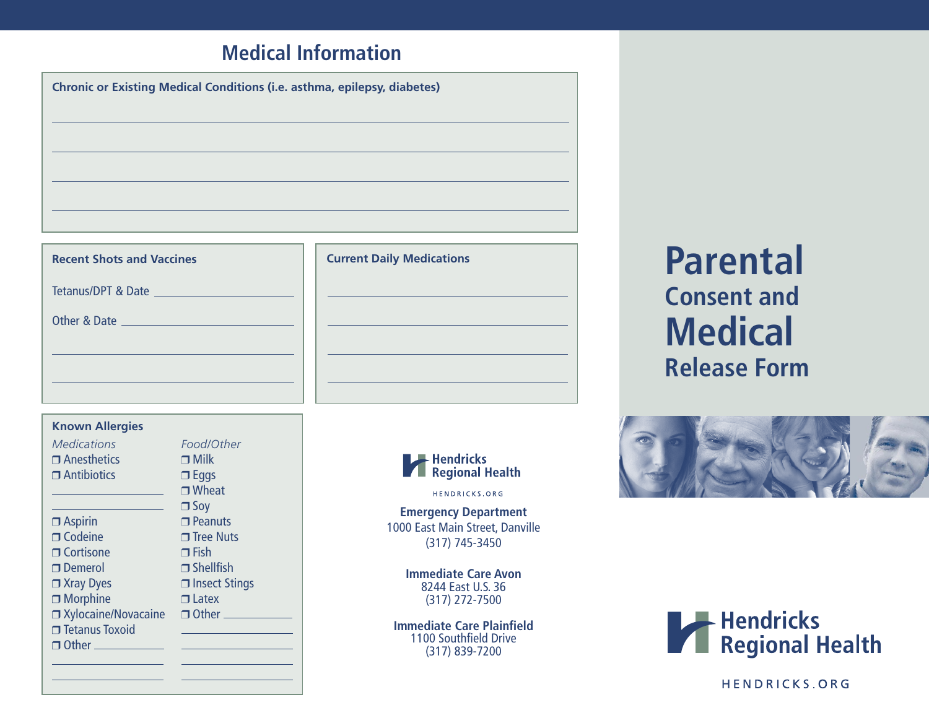## **Medical Information**

| <b>Chronic or Existing Medical Conditions (i.e. asthma, epilepsy, diabetes)</b> |  |  |
|---------------------------------------------------------------------------------|--|--|
|                                                                                 |  |  |
|                                                                                 |  |  |
|                                                                                 |  |  |
|                                                                                 |  |  |
|                                                                                 |  |  |

## **Recent Shots and Vaccines**

Tetanus/DPT & Date

Other & Date

| <b>Known Allergies</b> |                    |
|------------------------|--------------------|
| <i>Medications</i>     | Food/Other         |
| $\Box$ Anesthetics     | $\Box$ Milk        |
| $\Box$ Antibiotics     | $\Box$ Eggs        |
|                        | $\Box$ Wheat       |
|                        | $\Box$ Soy         |
| $\Box$ Aspirin         | $\Box$ Peanuts     |
| $\Box$ Codeine         | $\sqcap$ Tree Nuts |
| □ Cortisone            | $\Box$ Fish        |
| $\Box$ Demerol         | $\Box$ Shellfish   |
| □ Xray Dyes            | $\Box$ Insect Stin |
| □ Morphine             | $\Box$ Latex       |
|                        | - - - -            |

 $\Box$  Tetanus Toxoid

Xylocaine/Novacaine □ Other Other Wheat Its. Vuts  $\ddot{}$ ish t Stings





HENDRICKS.ORG

**Emergency Department** 1000 East Main Street, Danville (317) 745-3450

> **Immediate Care Avon** 8244 East U.S. 36 (317) 272-7500

**Immediate Care Plainfield** 1100 Southfield Drive (317) 839-7200

**Parental Consent and Medical Release Form**





HENDRICKS.ORG